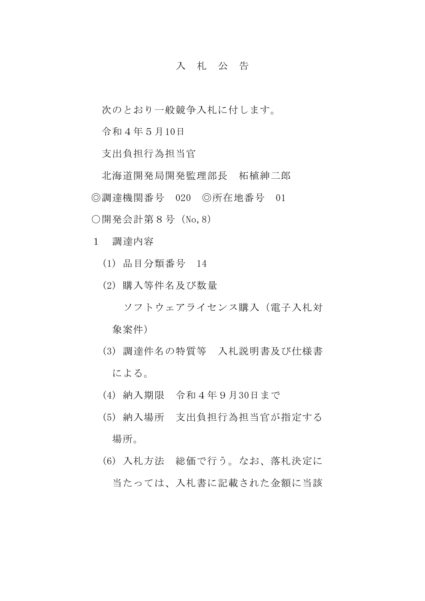## 入 札 公 告

次のとおり一般競争入札に付します。

令和4年5月10日

支出負担行為担当官

北海道開発局開発監理部長 柘植紳二郎 ◎調達機関番号 020 ◎所在地番号 01 ○開発会計第8号(No,8)

1 調達内容

- (1) 品目分類番号 14
- (2) 購入等件名及び数量

ソフトウェアライセンス購入(電子入札対 象案件)

- (3) 調達件名の特質等 入札説明書及び仕様書 による。
- (4) 納入期限 令和4年9月30日まで
- (5) 納入場所 支出負担行為担当官が指定する 場所。
- (6) 入札方法 総価で行う。なお、落札決定に 当たっては、入札書に記載された金額に当該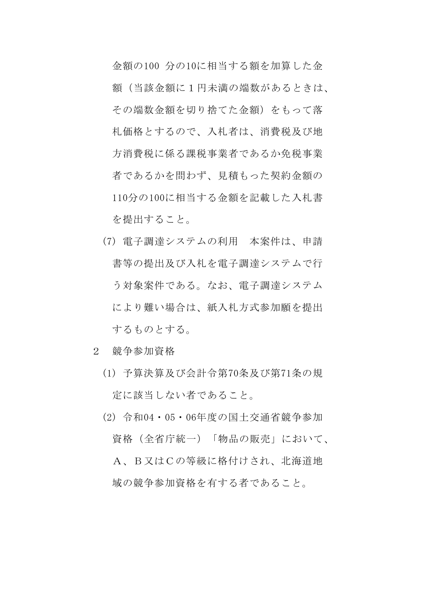金額の100 分の10に相当する額を加算した金 額(当該金額に1円未満の端数があるときは、 その端数金額を切り捨てた金額)をもって落 札価格とするので、入札者は、消費税及び地 方消費税に係る課税事業者であるか免税事業 者であるかを問わず、見積もった契約金額の 110分の100に相当する金額を記載した入札書 を提出すること。

- (7) 電子調達システムの利用 本案件は、申請 書等の提出及び入札を電子調達システムで行 う対象案件である。なお、電子調達システム により難い場合は、紙入札方式参加願を提出 するものとする。
- 2 競争参加資格
	- (1) 予算決算及び会計令第70条及び第71条の規 定に該当しない者であること。
	- (2) 令和04・05・06年度の国土交通省競争参加 資格(全省庁統一)「物品の販売」において、 A、B又はCの等級に格付けされ、北海道地 域の競争参加資格を有する者であること。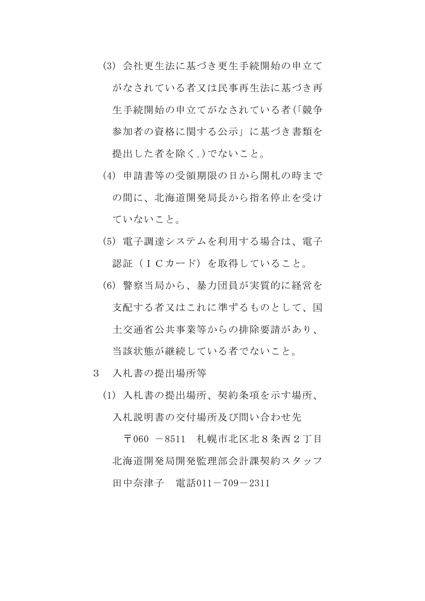- (3) 会社更生法に基づき更生手続開始の申立て がなされている者又は民事再生法に基づき再 生手続開始の申立てがなされている者(「競争 参加者の資格に関する公示」に基づき書類を 提出した者を除く。)でないこと。
- (4) 申請書等の受領期限の日から開札の時まで の間に、北海道開発局長から指名停止を受け ていないこと。
- (5) 電子調達システムを利用する場合は、電子 認証(ICカード)を取得していること。
- (6) 警察当局から、暴力団員が実質的に経営を 支配する者又はこれに準ずるものとして、国 土交通省公共事業等からの排除要請があり、 当該状態が継続している者でないこと。
- 3 入札書の提出場所等
	- (1) 入札書の提出場所、契約条項を示す場所、 入札説明書の交付場所及び問い合わせ先

〒060 -8511 札幌市北区北8条西2丁目 北海道開発局開発監理部会計課契約スタッフ 田中奈津子 電話011-709-2311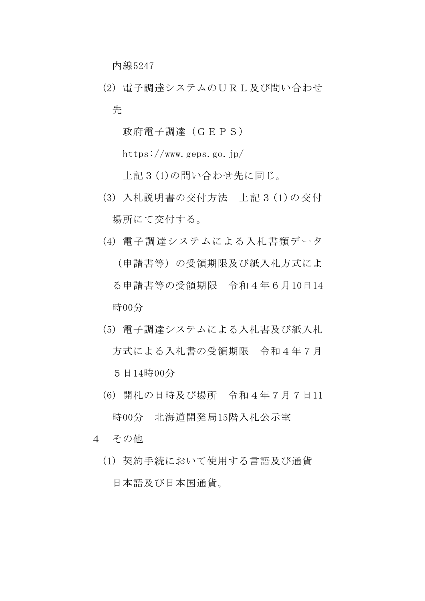内線5247

(2) 電子調達システムのURL及び問い合わせ 先

政府電子調達(GEPS)

https://www.geps.go.jp/

上記3(1)の問い合わせ先に同じ。

- (3) 入札説明書の交付方法 上記3(1)の交付 場所にて交付する。
- (4) 電子調達システムによる入札書類データ (申請書等)の受領期限及び紙入札方式によ る申請書等の受領期限 令和4年6月10日14 時00分
- (5) 電子調達システムによる入札書及び紙入札 方式による入札書の受領期限 令和4年7月 5日14時00分
- (6) 開札の日時及び場所 令和4年7月7日11 時00分 北海道開発局15階入札公示室
- 4 その他
	- (1) 契約手続において使用する言語及び通貨 日本語及び日本国通貨。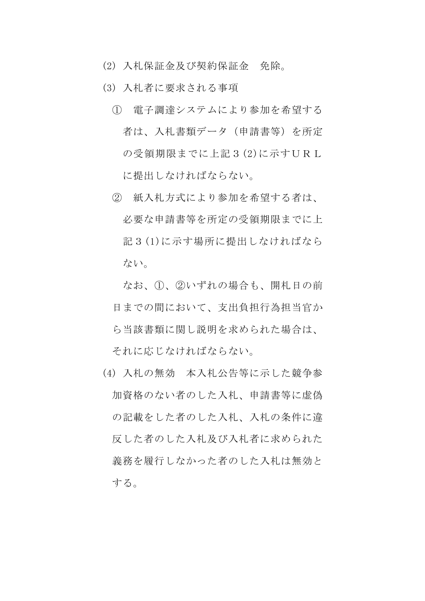- (2) 入札保証金及び契約保証金 免除。
- (3) 入札者に要求される事項
	- ① 電子調達システムにより参加を希望する 者は、入札書類データ(申請書等)を所定 の受領期限までに上記3(2)に示すURL に提出しなければならない。
	- ② 紙入札方式により参加を希望する者は、 必要な申請書等を所定の受領期限までに上 記3(1)に示す場所に提出しなければなら ない。

なお、①、②いずれの場合も、開札日の前 日までの間において、支出負担行為担当官か ら当該書類に関し説明を求められた場合は、 それに応じなければならない。

(4) 入札の無効 本入札公告等に示した競争参 加資格のない者のした入札、申請書等に虚偽 の記載をした者のした入札、入札の条件に違 反した者のした入札及び入札者に求められた 義務を履行しなかった者のした入札は無効と する。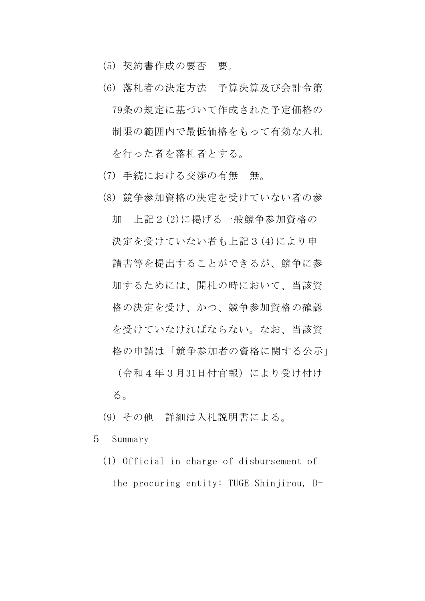- (5) 契約書作成の要否 要。
- (6) 落札者の決定方法 予算決算及び会計令第 79条の規定に基づいて作成された予定価格の 制限の範囲内で最低価格をもって有効な入札 を行った者を落札者とする。
- (7) 手続における交渉の有無 無。
- (8) 競争参加資格の決定を受けていない者の参 加 上記2(2)に掲げる一般競争参加資格の 決定を受けていない者も上記3(4)により申 請書等を提出することができるが、競争に参 加するためには、開札の時において、当該資 格の決定を受け、かつ、競争参加資格の確認 を受けていなければならない。なお、当該資 格の申請は「競争参加者の資格に関する公示」 (令和4年3月31日付官報)により受け付け る。
- (9) その他 詳細は入札説明書による。
- 5 Summary
	- (1) Official in charge of disbursement of the procuring entity: TUGE Shinjirou, D-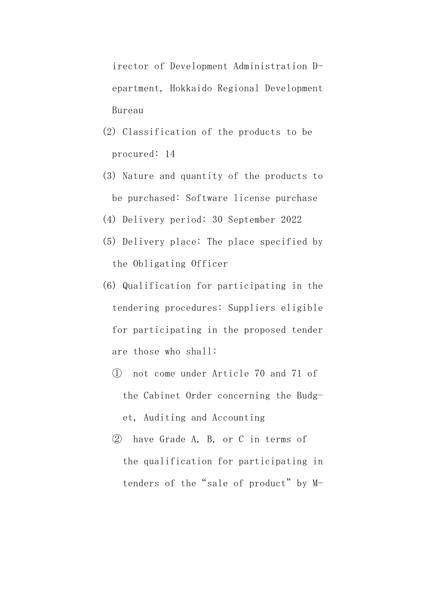irector of Development Administration Department, Hokkaido Regional Development Bureau

- (2) Classification of the products to be procured: 14
- (3) Nature and quantity of the products to be purchased: Software license purchase
- (4) Delivery period: 30 September 2022
- (5) Delivery place: The place specified by the Obligating Officer
- (6) Qualification for participating in the tendering procedures: Suppliers eligible for participating in the proposed tender are those who shall:
	- ① not come under Article 70 and 71 of the Cabinet Order concerning the Budget, Auditing and Accounting
	- ② have Grade A, B, or C in terms of the qualification for participating in tenders of the "sale of product" by M-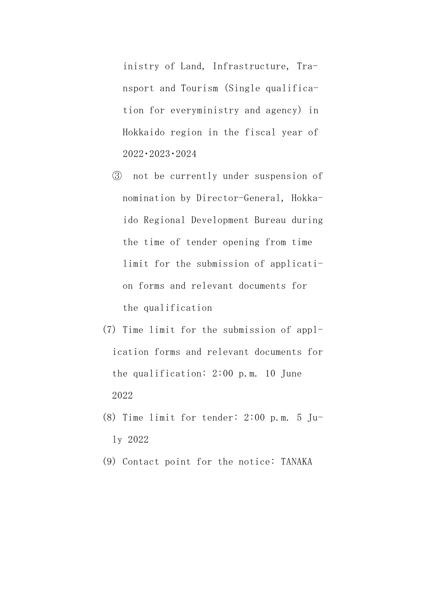inistry of Land, Infrastructure, Transport and Tourism (Single qualification for everyministry and agency) in Hokkaido region in the fiscal year of 2022・2023・2024

- ③ not be currently under suspension of nomination by Director-General, Hokkaido Regional Development Bureau during the time of tender opening from time limit for the submission of application forms and relevant documents for the qualification
- (7) Time limit for the submission of application forms and relevant documents for the qualification: 2:00 p.m. 10 June 2022
- (8) Time limit for tender: 2:00 p.m. 5 July 2022
- (9) Contact point for the notice: TANAKA